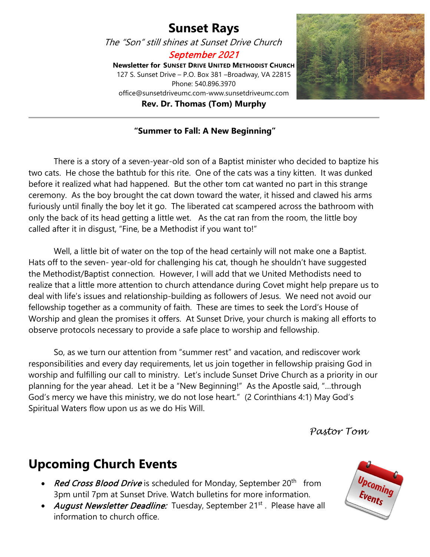### **Sunset Rays**

The "Son" still shines at Sunset Drive Church

September 2021

**Newsletter for SUNSET DRIVE UNITED METHODIST CHURCH** 127 S. Sunset Drive – P.O. Box 381 –Broadway, VA 22815 Phone: 540.896.3970 office@sunsetdriveumc.com-www.sunsetdriveumc.com **Rev. Dr. Thomas (Tom) Murphy**



#### **"Summer to Fall: A New Beginning"**

There is a story of a seven-year-old son of a Baptist minister who decided to baptize his two cats. He chose the bathtub for this rite. One of the cats was a tiny kitten. It was dunked before it realized what had happened. But the other tom cat wanted no part in this strange ceremony. As the boy brought the cat down toward the water, it hissed and clawed his arms furiously until finally the boy let it go. The liberated cat scampered across the bathroom with only the back of its head getting a little wet. As the cat ran from the room, the little boy called after it in disgust, "Fine, be a Methodist if you want to!"

Well, a little bit of water on the top of the head certainly will not make one a Baptist. Hats off to the seven- year-old for challenging his cat, though he shouldn't have suggested the Methodist/Baptist connection. However, I will add that we United Methodists need to realize that a little more attention to church attendance during Covet might help prepare us to deal with life's issues and relationship-building as followers of Jesus. We need not avoid our fellowship together as a community of faith. These are times to seek the Lord's House of Worship and glean the promises it offers. At Sunset Drive, your church is making all efforts to observe protocols necessary to provide a safe place to worship and fellowship.

So, as we turn our attention from "summer rest" and vacation, and rediscover work responsibilities and every day requirements, let us join together in fellowship praising God in worship and fulfilling our call to ministry. Let's include Sunset Drive Church as a priority in our planning for the year ahead. Let it be a "New Beginning!" As the Apostle said, "…through God's mercy we have this ministry, we do not lose heart." (2 Corinthians 4:1) May God's Spiritual Waters flow upon us as we do His Will.

*Pastor Tom*

### **Upcoming Church Events**

- Red Cross Blood Drive is scheduled for Monday, September  $20<sup>th</sup>$  from 3pm until 7pm at Sunset Drive. Watch bulletins for more information.
- August Newsletter Deadline: Tuesday, September 21<sup>st</sup>. Please have all information to church office.

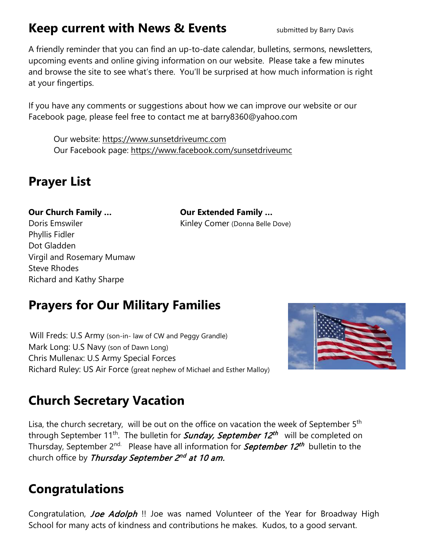### **Keep current with News & Events** submitted by Barry Davis

A friendly reminder that you can find an up-to-date calendar, bulletins, sermons, newsletters, upcoming events and online giving information on our website. Please take a few minutes and browse the site to see what's there. You'll be surprised at how much information is right at your fingertips.

If you have any comments or suggestions about how we can improve our website or our Facebook page, please feel free to contact me at barry8360@yahoo.com

Our website: [https://www.sunsetdriveumc.com](about:blank) Our Facebook page: [https://www.facebook.com/sunsetdriveumc](about:blank)

### **Prayer List**

Doris Emswiler **Kinley Comer (Donna Belle Dove)** Phyllis Fidler Dot Gladden Virgil and Rosemary Mumaw Steve Rhodes Richard and Kathy Sharpe

**Our Church Family … Our Extended Family …**

# **Prayers for Our Military Families**

 Will Freds: U.S Army (son-in- law of CW and Peggy Grandle) Mark Long: U.S Navy (son of Dawn Long) Chris Mullenax: U.S Army Special Forces Richard Ruley: US Air Force (great nephew of Michael and Esther Malloy)



# **Church Secretary Vacation**

Lisa, the church secretary, will be out on the office on vacation the week of September  $5<sup>th</sup>$ through September 11<sup>th</sup>. The bulletin for **Sunday, September 12<sup>th</sup>** will be completed on Thursday, September 2<sup>nd.</sup> Please have all information for *September 12<sup>th</sup>* bulletin to the church office by Thursday September  $2^{nd}$  at 10 am.

### **Congratulations**

Congratulation, *Joe Adolph* !! Joe was named Volunteer of the Year for Broadway High School for many acts of kindness and contributions he makes. Kudos, to a good servant.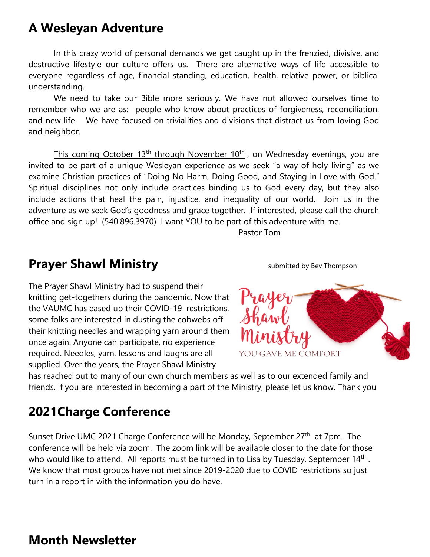### **A Wesleyan Adventure**

In this crazy world of personal demands we get caught up in the frenzied, divisive, and destructive lifestyle our culture offers us. There are alternative ways of life accessible to everyone regardless of age, financial standing, education, health, relative power, or biblical understanding.

We need to take our Bible more seriously. We have not allowed ourselves time to remember who we are as: people who know about practices of forgiveness, reconciliation, and new life. We have focused on trivialities and divisions that distract us from loving God and neighbor.

This coming October  $13<sup>th</sup>$  through November  $10<sup>th</sup>$ , on Wednesday evenings, you are invited to be part of a unique Wesleyan experience as we seek "a way of holy living" as we examine Christian practices of "Doing No Harm, Doing Good, and Staying in Love with God." Spiritual disciplines not only include practices binding us to God every day, but they also include actions that heal the pain, injustice, and inequality of our world. Join us in the adventure as we seek God's goodness and grace together. If interested, please call the church office and sign up! (540.896.3970) I want YOU to be part of this adventure with me.

Pastor Tom

### **Prayer Shawl Ministry State of Allegan State Shawl Ministry** *submitted by Bev Thompson*

The Prayer Shawl Ministry had to suspend their knitting get-togethers during the pandemic. Now that the VAUMC has eased up their COVID-19 restrictions, some folks are interested in dusting the cobwebs off their knitting needles and wrapping yarn around them once again. Anyone can participate, no experience required. Needles, yarn, lessons and laughs are all supplied. Over the years, the Prayer Shawl Ministry



has reached out to many of our own church members as well as to our extended family and friends. If you are interested in becoming a part of the Ministry, please let us know. Thank you

### **2021Charge Conference**

Sunset Drive UMC 2021 Charge Conference will be Monday, September 27<sup>th</sup> at 7pm. The conference will be held via zoom. The zoom link will be available closer to the date for those who would like to attend. All reports must be turned in to Lisa by Tuesday, September  $14<sup>th</sup>$ . We know that most groups have not met since 2019-2020 due to COVID restrictions so just turn in a report in with the information you do have.

### **Month Newsletter**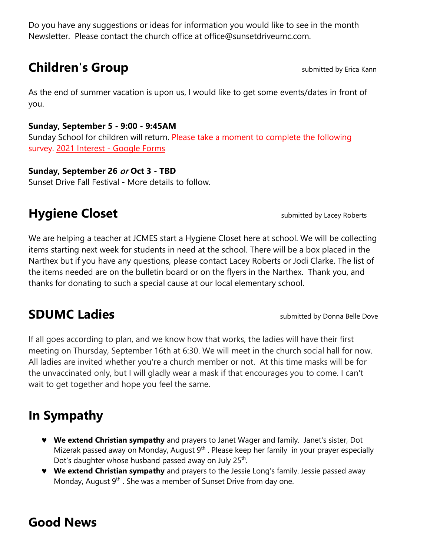Do you have any suggestions or ideas for information you would like to see in the month Newsletter. Please contact the church office at office@sunsetdriveumc.com.

### **Children's Group Submitted by Erica Kann**

As the end of summer vacation is upon us, I would like to get some events/dates in front of you.

#### **Sunday, September 5 - 9:00 - 9:45AM**

Sunday School for children will return. Please take a moment to complete the following survey. [2021 Interest -](about:blank) Google Forms

#### **Sunday, September 26** or **Oct 3 - TBD**

Sunset Drive Fall Festival - More details to follow.

### **Hygiene Closet Submitted by Lacey Roberts**

We are helping a teacher at JCMES start a Hygiene Closet here at school. We will be collecting items starting next week for students in need at the school. There will be a box placed in the Narthex but if you have any questions, please contact Lacey Roberts or Jodi Clarke. The list of the items needed are on the bulletin board or on the flyers in the Narthex. Thank you, and thanks for donating to such a special cause at our local elementary school.

### **SDUMC Ladies SDUMC Ladies**

If all goes according to plan, and we know how that works, the ladies will have their first meeting on Thursday, September 16th at 6:30. We will meet in the church social hall for now. All ladies are invited whether you're a church member or not. At this time masks will be for the unvaccinated only, but I will gladly wear a mask if that encourages you to come. I can't wait to get together and hope you feel the same.

# **In Sympathy**

- ♥ **We extend Christian sympathy** and prayers to Janet Wager and family. Janet's sister, Dot Mizerak passed away on Monday, August  $9<sup>th</sup>$ . Please keep her family in your prayer especially Dot's daughter whose husband passed away on July 25<sup>th</sup>.
- ♥ **We extend Christian sympathy** and prayers to the Jessie Long's family. Jessie passed away Monday, August  $9<sup>th</sup>$ . She was a member of Sunset Drive from day one.

### **Good News**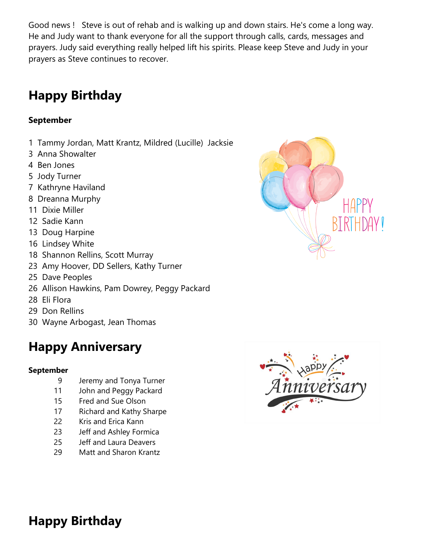Good news ! Steve is out of rehab and is walking up and down stairs. He's come a long way. He and Judy want to thank everyone for all the support through calls, cards, messages and prayers. Judy said everything really helped lift his spirits. Please keep Steve and Judy in your prayers as Steve continues to recover.

# **Happy Birthday**

### **September**

- 1 Tammy Jordan, Matt Krantz, Mildred (Lucille) Jacksie
- 3 Anna Showalter
- 4 Ben Jones
- 5 Jody Turner
- 7 Kathryne Haviland
- 8 Dreanna Murphy
- 11 Dixie Miller
- 12 Sadie Kann
- 13 Doug Harpine
- 16 Lindsey White
- 18 Shannon Rellins, Scott Murray
- 23 Amy Hoover, DD Sellers, Kathy Turner
- 25 Dave Peoples
- 26 Allison Hawkins, Pam Dowrey, Peggy Packard
- 28 Eli Flora
- 29 Don Rellins
- 30 Wayne Arbogast, Jean Thomas

# **Happy Anniversary**

#### **September**

- 9 Jeremy and Tonya Turner
- 11 John and Peggy Packard
- 15 Fred and Sue Olson
- 17 Richard and Kathy Sharpe
- 22 Kris and Erica Kann
- 23 Jeff and Ashley Formica
- 25 Jeff and Laura Deavers
- 29 Matt and Sharon Krantz





**Happy Birthday**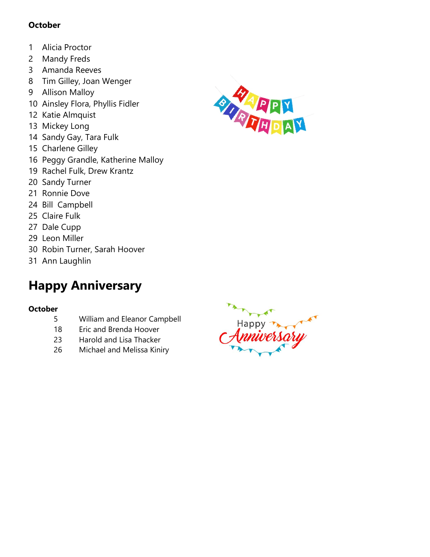#### **October**

- 1 Alicia Proctor
- 2 Mandy Freds
- 3 Amanda Reeves
- 8 Tim Gilley, Joan Wenger
- 9 Allison Malloy
- 10 Ainsley Flora, Phyllis Fidler
- 12 Katie Almquist
- 13 Mickey Long
- 14 Sandy Gay, Tara Fulk
- 15 Charlene Gilley
- 16 Peggy Grandle, Katherine Malloy
- 19 Rachel Fulk, Drew Krantz
- 20 Sandy Turner
- 21 Ronnie Dove
- 24 Bill Campbell
- 25 Claire Fulk
- 27 Dale Cupp
- 29 Leon Miller
- 30 Robin Turner, Sarah Hoover
- 31 Ann Laughlin

# **Happy Anniversary**

#### **October**

- 5 William and Eleanor Campbell
- 18 Eric and Brenda Hoover
- 23 Harold and Lisa Thacker
- 26 Michael and Melissa Kiniry



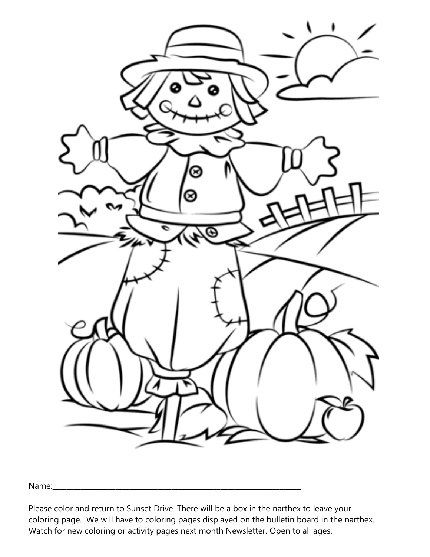

Name:\_\_\_\_\_\_\_\_\_\_\_\_\_\_\_\_\_\_\_\_\_\_\_\_\_\_\_\_\_\_\_\_\_\_\_\_\_\_\_\_\_\_\_\_\_\_\_\_\_\_\_\_\_\_\_\_\_\_\_\_\_\_\_\_\_\_\_\_\_\_\_

Please color and return to Sunset Drive. There will be a box in the narthex to leave your coloring page. We will have to coloring pages displayed on the bulletin board in the narthex. Watch for new coloring or activity pages next month Newsletter. Open to all ages.